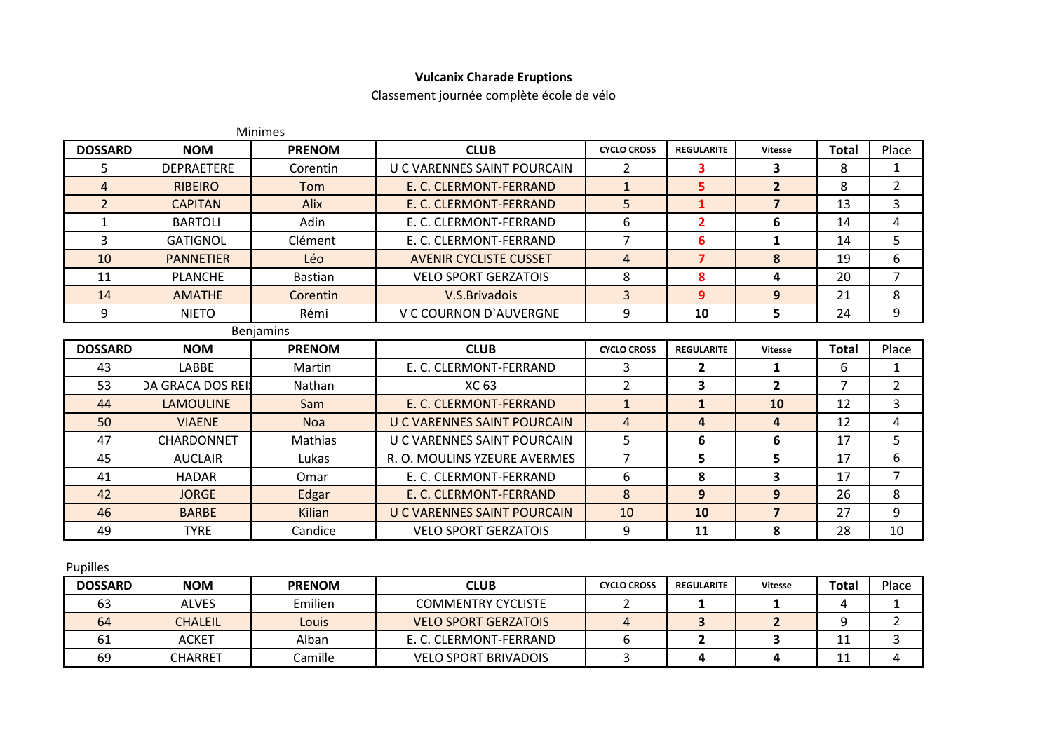## **Vulcanix Charade Eruptions**

Classement journée complète école de vélo

|                |                   | <b>Minimes</b> |                               |                    |                         |                |              |                |
|----------------|-------------------|----------------|-------------------------------|--------------------|-------------------------|----------------|--------------|----------------|
| <b>DOSSARD</b> | <b>NOM</b>        | <b>PRENOM</b>  | <b>CLUB</b>                   | <b>CYCLO CROSS</b> | <b>REGULARITE</b>       | <b>Vitesse</b> | <b>Total</b> | Place          |
| 5.             | <b>DEPRAETERE</b> | Corentin       | U C VARENNES SAINT POURCAIN   | $\mathcal{P}$      | 3                       | 3              | 8            | 1              |
| $\overline{4}$ | <b>RIBEIRO</b>    | Tom            | E. C. CLERMONT-FERRAND        | $\mathbf{1}$       | 5                       | $\overline{2}$ | 8            | $\overline{2}$ |
| $\overline{2}$ | <b>CAPITAN</b>    | Alix           | E. C. CLERMONT-FERRAND        | 5                  | $\mathbf{1}$            | $\overline{7}$ | 13           | $\overline{3}$ |
| $\mathbf{1}$   | <b>BARTOLI</b>    | Adin           | E. C. CLERMONT-FERRAND        | 6                  | $\overline{2}$          | 6              | 14           | 4              |
| 3              | <b>GATIGNOL</b>   | Clément        | E. C. CLERMONT-FERRAND        | $\overline{7}$     | 6                       | 1              | 14           | 5              |
| 10             | <b>PANNETIER</b>  | Léo            | <b>AVENIR CYCLISTE CUSSET</b> | $\overline{4}$     | $\overline{7}$          | 8              | 19           | 6              |
| 11             | <b>PLANCHE</b>    | <b>Bastian</b> | <b>VELO SPORT GERZATOIS</b>   | 8                  | 8                       | 4              | 20           | $\overline{7}$ |
| 14             | <b>AMATHE</b>     | Corentin       | V.S. Brivadois                | 3                  | 9                       | 9              | 21           | 8              |
| 9              | <b>NIETO</b>      | Rémi           | V C COURNON D'AUVERGNE        | 9                  | 10                      | 5              | 24           | 9              |
|                |                   | Benjamins      |                               |                    |                         |                |              |                |
| <b>DOSSARD</b> | <b>NOM</b>        | <b>PRENOM</b>  | <b>CLUB</b>                   | <b>CYCLO CROSS</b> | <b>REGULARITE</b>       | <b>Vitesse</b> | <b>Total</b> | Place          |
| 43             | <b>LABBE</b>      | Martin         | E. C. CLERMONT-FERRAND        | 3                  | $\mathbf{2}$            | 1              | 6            | 1              |
| 53             | DA GRACA DOS REI! | Nathan         | XC 63                         | $\overline{2}$     | 3                       | $\overline{2}$ | 7            | $\overline{2}$ |
| 44             | <b>LAMOULINE</b>  | Sam            | E. C. CLERMONT-FERRAND        | $\mathbf{1}$       | $\mathbf{1}$            | 10             | 12           | 3              |
| 50             | <b>VIAENE</b>     | <b>Noa</b>     | U C VARENNES SAINT POURCAIN   | $\overline{4}$     | $\overline{\mathbf{4}}$ | 4              | 12           | 4              |
| 47             | CHARDONNET        | Mathias        | U C VARENNES SAINT POURCAIN   | 5                  | 6                       | 6              | 17           | 5.             |
| 45             | <b>AUCLAIR</b>    | Lukas          | R. O. MOULINS YZEURE AVERMES  | $\overline{7}$     | 5                       | 5              | 17           | 6              |
| 41             | <b>HADAR</b>      | Omar           | E. C. CLERMONT-FERRAND        | 6                  | 8                       | 3              | 17           | $\overline{7}$ |
| 42             | <b>JORGE</b>      | Edgar          | E. C. CLERMONT-FERRAND        | 8                  | 9                       | 9              | 26           | 8              |
| 46             | <b>BARBE</b>      | Kilian         | U C VARENNES SAINT POURCAIN   | 10                 | 10                      | $\overline{7}$ | 27           | 9              |
| 49             | <b>TYRE</b>       | Candice        | <b>VELO SPORT GERZATOIS</b>   | 9                  | 11                      | 8              | 28           | 10             |
|                |                   |                |                               |                    |                         |                |              |                |

|  | ۰, |
|--|----|
|--|----|

| <b>DOSSARD</b> | <b>NOM</b>     | <b>PRENOM</b> | <b>CLUB</b>                 | <b>CYCLO CROSS</b> | <b>REGULARITE</b> | <b>Vitesse</b> | Total | Place |
|----------------|----------------|---------------|-----------------------------|--------------------|-------------------|----------------|-------|-------|
| 63             | <b>ALVES</b>   | Emilien       | <b>COMMENTRY CYCLISTE</b>   |                    |                   |                |       |       |
| 64             | <b>CHALEIL</b> | Louis         | <b>VELO SPORT GERZATOIS</b> |                    |                   |                |       |       |
|                | <b>ACKET</b>   | Alban         | E. C. CLERMONT-FERRAND      |                    |                   |                |       |       |
| 69             | CHARRET        | Camille       | <b>VELO SPORT BRIVADOIS</b> |                    |                   |                |       |       |